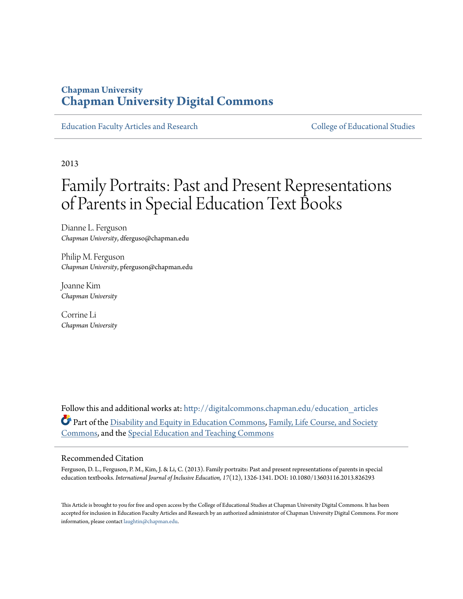## **Chapman University [Chapman University Digital Commons](http://digitalcommons.chapman.edu?utm_source=digitalcommons.chapman.edu%2Feducation_articles%2F39&utm_medium=PDF&utm_campaign=PDFCoverPages)**

[Education Faculty Articles and Research](http://digitalcommons.chapman.edu/education_articles?utm_source=digitalcommons.chapman.edu%2Feducation_articles%2F39&utm_medium=PDF&utm_campaign=PDFCoverPages) [College of Educational Studies](http://digitalcommons.chapman.edu/ces?utm_source=digitalcommons.chapman.edu%2Feducation_articles%2F39&utm_medium=PDF&utm_campaign=PDFCoverPages)

2013

# Family Portraits: Past and Present Representations of Parents in Special Education Text Books

Dianne L. Ferguson *Chapman University*, dferguso@chapman.edu

Philip M. Ferguson *Chapman University*, pferguson@chapman.edu

Joanne Kim *Chapman University*

Corrine Li *Chapman University*

Follow this and additional works at: [http://digitalcommons.chapman.edu/education\\_articles](http://digitalcommons.chapman.edu/education_articles?utm_source=digitalcommons.chapman.edu%2Feducation_articles%2F39&utm_medium=PDF&utm_campaign=PDFCoverPages) Part of the [Disability and Equity in Education Commons,](http://network.bepress.com/hgg/discipline/1040?utm_source=digitalcommons.chapman.edu%2Feducation_articles%2F39&utm_medium=PDF&utm_campaign=PDFCoverPages) [Family, Life Course, and Society](http://network.bepress.com/hgg/discipline/419?utm_source=digitalcommons.chapman.edu%2Feducation_articles%2F39&utm_medium=PDF&utm_campaign=PDFCoverPages) [Commons,](http://network.bepress.com/hgg/discipline/419?utm_source=digitalcommons.chapman.edu%2Feducation_articles%2F39&utm_medium=PDF&utm_campaign=PDFCoverPages) and the [Special Education and Teaching Commons](http://network.bepress.com/hgg/discipline/801?utm_source=digitalcommons.chapman.edu%2Feducation_articles%2F39&utm_medium=PDF&utm_campaign=PDFCoverPages)

## Recommended Citation

Ferguson, D. L., Ferguson, P. M., Kim, J. & Li, C. (2013). Family portraits: Past and present representations of parents in special education textbooks. *International Journal of Inclusive Education, 17*(12), 1326-1341. DOI: 10.1080/13603116.2013.826293

This Article is brought to you for free and open access by the College of Educational Studies at Chapman University Digital Commons. It has been accepted for inclusion in Education Faculty Articles and Research by an authorized administrator of Chapman University Digital Commons. For more information, please contact [laughtin@chapman.edu](mailto:laughtin@chapman.edu).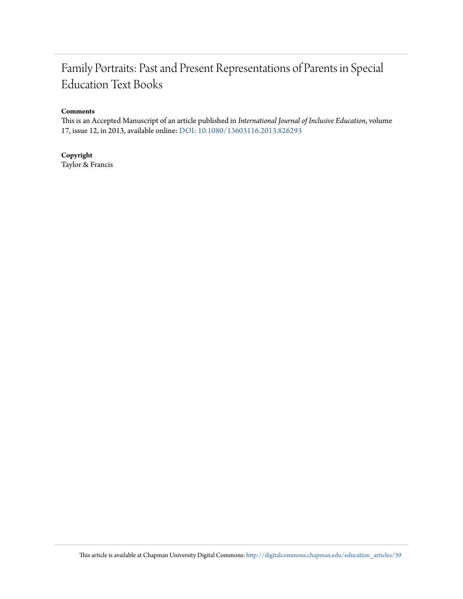## Family Portraits: Past and Present Representations of Parents in Special Education Text Books

## **Comments**

This is an Accepted Manuscript of an article published in *International Journal of Inclusive Education*, volume 17, issue 12, in 2013, available online: [DOI: 10.1080/13603116.2013.826293](http://dx.doi.org/10.1080/13603116.2013.826293)

## **Copyright**

Taylor & Francis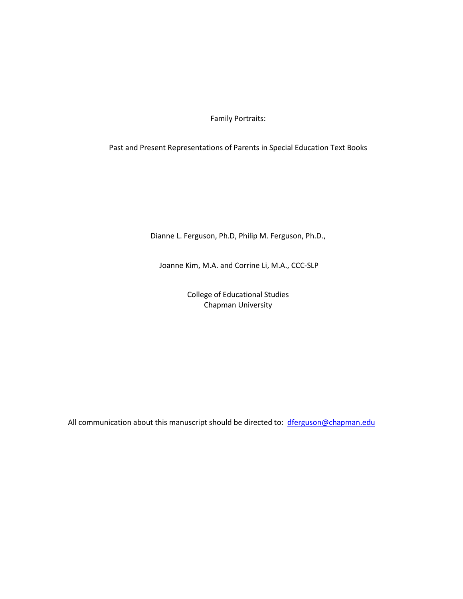Family Portraits:

Past and Present Representations of Parents in Special Education Text Books

Dianne L. Ferguson, Ph.D, Philip M. Ferguson, Ph.D.,

Joanne Kim, M.A. and Corrine Li, M.A., CCC-SLP

College of Educational Studies Chapman University

All communication about this manuscript should be directed to: [dferguson@chapman.edu](mailto:dferguson@chapman.edu)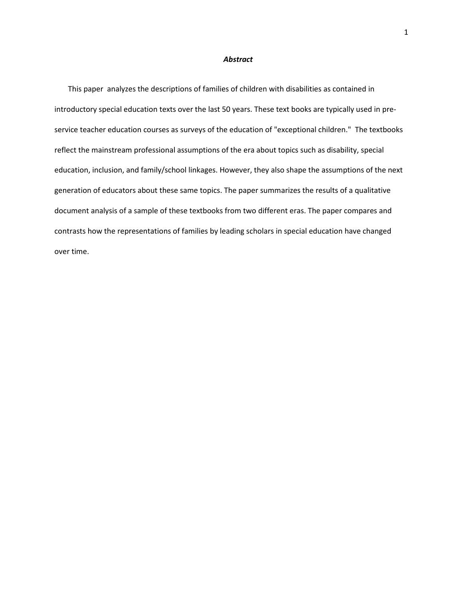#### *Abstract*

This paper analyzes the descriptions of families of children with disabilities as contained in introductory special education texts over the last 50 years. These text books are typically used in preservice teacher education courses as surveys of the education of "exceptional children." The textbooks reflect the mainstream professional assumptions of the era about topics such as disability, special education, inclusion, and family/school linkages. However, they also shape the assumptions of the next generation of educators about these same topics. The paper summarizes the results of a qualitative document analysis of a sample of these textbooks from two different eras. The paper compares and contrasts how the representations of families by leading scholars in special education have changed over time.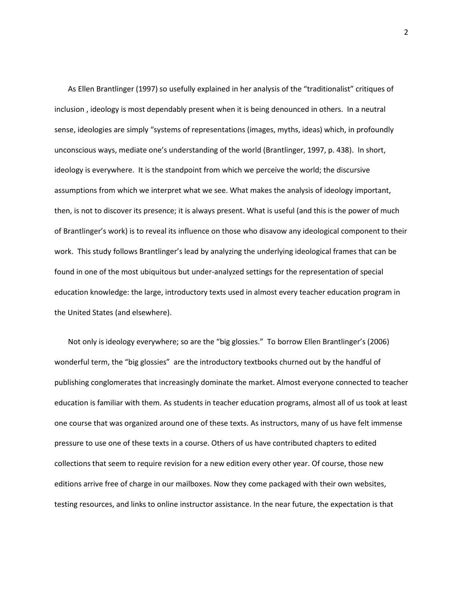As Ellen Brantlinger (1997) so usefully explained in her analysis of the "traditionalist" critiques of inclusion , ideology is most dependably present when it is being denounced in others. In a neutral sense, ideologies are simply "systems of representations (images, myths, ideas) which, in profoundly unconscious ways, mediate one's understanding of the world (Brantlinger, 1997, p. 438). In short, ideology is everywhere. It is the standpoint from which we perceive the world; the discursive assumptions from which we interpret what we see. What makes the analysis of ideology important, then, is not to discover its presence; it is always present. What is useful (and this is the power of much of Brantlinger's work) is to reveal its influence on those who disavow any ideological component to their work. This study follows Brantlinger's lead by analyzing the underlying ideological frames that can be found in one of the most ubiquitous but under-analyzed settings for the representation of special education knowledge: the large, introductory texts used in almost every teacher education program in the United States (and elsewhere).

Not only is ideology everywhere; so are the "big glossies." To borrow Ellen Brantlinger's (2006) wonderful term, the "big glossies" are the introductory textbooks churned out by the handful of publishing conglomerates that increasingly dominate the market. Almost everyone connected to teacher education is familiar with them. As students in teacher education programs, almost all of us took at least one course that was organized around one of these texts. As instructors, many of us have felt immense pressure to use one of these texts in a course. Others of us have contributed chapters to edited collections that seem to require revision for a new edition every other year. Of course, those new editions arrive free of charge in our mailboxes. Now they come packaged with their own websites, testing resources, and links to online instructor assistance. In the near future, the expectation is that

2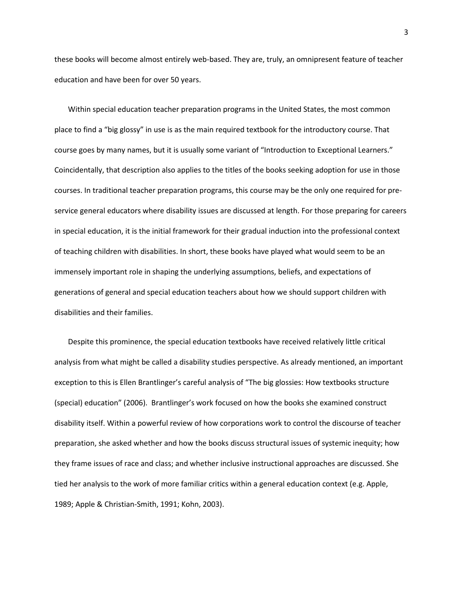these books will become almost entirely web-based. They are, truly, an omnipresent feature of teacher education and have been for over 50 years.

Within special education teacher preparation programs in the United States, the most common place to find a "big glossy" in use is as the main required textbook for the introductory course. That course goes by many names, but it is usually some variant of "Introduction to Exceptional Learners." Coincidentally, that description also applies to the titles of the books seeking adoption for use in those courses. In traditional teacher preparation programs, this course may be the only one required for preservice general educators where disability issues are discussed at length. For those preparing for careers in special education, it is the initial framework for their gradual induction into the professional context of teaching children with disabilities. In short, these books have played what would seem to be an immensely important role in shaping the underlying assumptions, beliefs, and expectations of generations of general and special education teachers about how we should support children with disabilities and their families.

Despite this prominence, the special education textbooks have received relatively little critical analysis from what might be called a disability studies perspective. As already mentioned, an important exception to this is Ellen Brantlinger's careful analysis of "The big glossies: How textbooks structure (special) education" (2006). Brantlinger's work focused on how the books she examined construct disability itself. Within a powerful review of how corporations work to control the discourse of teacher preparation, she asked whether and how the books discuss structural issues of systemic inequity; how they frame issues of race and class; and whether inclusive instructional approaches are discussed. She tied her analysis to the work of more familiar critics within a general education context (e.g. Apple, 1989; Apple & Christian-Smith, 1991; Kohn, 2003).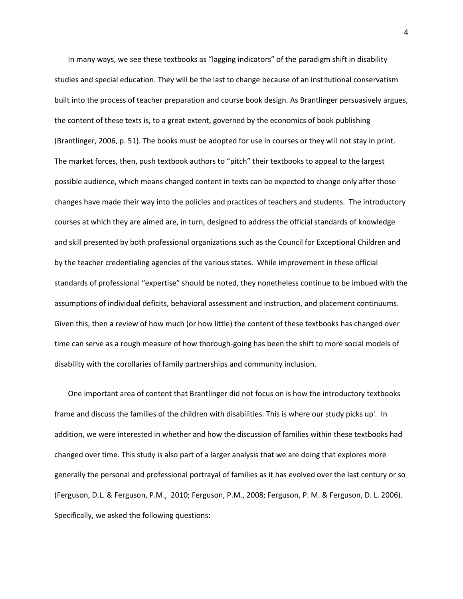In many ways, we see these textbooks as "lagging indicators" of the paradigm shift in disability studies and special education. They will be the last to change because of an institutional conservatism built into the process of teacher preparation and course book design. As Brantlinger persuasively argues, the content of these texts is, to a great extent, governed by the economics of book publishing (Brantlinger, 2006, p. 51). The books must be adopted for use in courses or they will not stay in print. The market forces, then, push textbook authors to "pitch" their textbooks to appeal to the largest possible audience, which means changed content in texts can be expected to change only after those changes have made their way into the policies and practices of teachers and students. The introductory courses at which they are aimed are, in turn, designed to address the official standards of knowledge and skill presented by both professional organizations such as the Council for Exceptional Children and by the teacher credentialing agencies of the various states. While improvement in these official standards of professional "expertise" should be noted, they nonetheless continue to be imbued with the assumptions of individual deficits, behavioral assessment and instruction, and placement continuums. Given this, then a review of how much (or how little) the content of these textbooks has changed over time can serve as a rough measure of how thorough-going has been the shift to more social models of disability with the corollaries of family partnerships and community inclusion.

One important area of content that Brantlinger did not focus on is how the introductory textbooks frame and d[i](#page-33-0)scuss the families of the children with disabilities. This is where our study picks up<sup>i</sup>. In addition, we were interested in whether and how the discussion of families within these textbooks had changed over time. This study is also part of a larger analysis that we are doing that explores more generally the personal and professional portrayal of families as it has evolved over the last century or so (Ferguson, D.L. & Ferguson, P.M., 2010; Ferguson, P.M., 2008; Ferguson, P. M. & Ferguson, D. L. 2006). Specifically, we asked the following questions:

4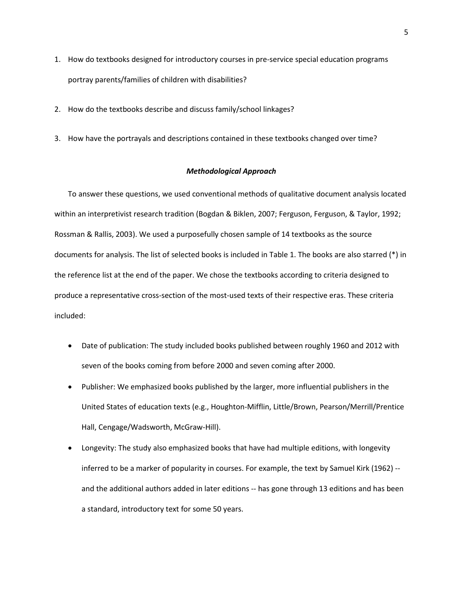- 1. How do textbooks designed for introductory courses in pre-service special education programs portray parents/families of children with disabilities?
- 2. How do the textbooks describe and discuss family/school linkages?
- 3. How have the portrayals and descriptions contained in these textbooks changed over time?

## *Methodological Approach*

To answer these questions, we used conventional methods of qualitative document analysis located within an interpretivist research tradition (Bogdan & Biklen, 2007; Ferguson, Ferguson, & Taylor, 1992; Rossman & Rallis, 2003). We used a purposefully chosen sample of 14 textbooks as the source documents for analysis. The list of selected books is included in Table 1. The books are also starred (\*) in the reference list at the end of the paper. We chose the textbooks according to criteria designed to produce a representative cross-section of the most-used texts of their respective eras. These criteria included:

- Date of publication: The study included books published between roughly 1960 and 2012 with seven of the books coming from before 2000 and seven coming after 2000.
- Publisher: We emphasized books published by the larger, more influential publishers in the United States of education texts (e.g., Houghton-Mifflin, Little/Brown, Pearson/Merrill/Prentice Hall, Cengage/Wadsworth, McGraw-Hill).
- Longevity: The study also emphasized books that have had multiple editions, with longevity inferred to be a marker of popularity in courses. For example, the text by Samuel Kirk (1962) - and the additional authors added in later editions -- has gone through 13 editions and has been a standard, introductory text for some 50 years.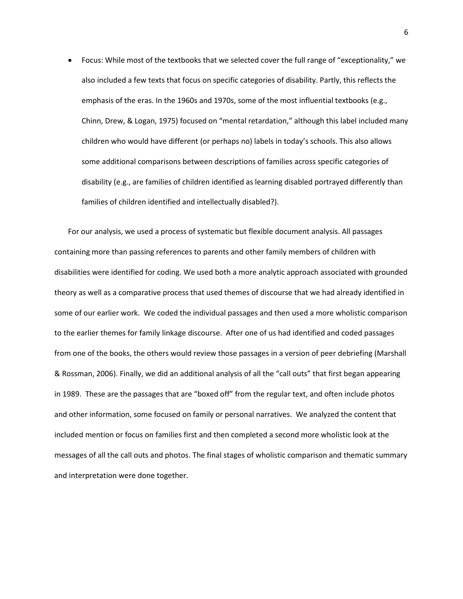• Focus: While most of the textbooks that we selected cover the full range of "exceptionality," we also included a few texts that focus on specific categories of disability. Partly, this reflects the emphasis of the eras. In the 1960s and 1970s, some of the most influential textbooks (e.g., Chinn, Drew, & Logan, 1975) focused on "mental retardation," although this label included many children who would have different (or perhaps no) labels in today's schools. This also allows some additional comparisons between descriptions of families across specific categories of disability (e.g., are families of children identified as learning disabled portrayed differently than families of children identified and intellectually disabled?).

For our analysis, we used a process of systematic but flexible document analysis. All passages containing more than passing references to parents and other family members of children with disabilities were identified for coding. We used both a more analytic approach associated with grounded theory as well as a comparative process that used themes of discourse that we had already identified in some of our earlier work. We coded the individual passages and then used a more wholistic comparison to the earlier themes for family linkage discourse. After one of us had identified and coded passages from one of the books, the others would review those passages in a version of peer debriefing (Marshall & Rossman, 2006). Finally, we did an additional analysis of all the "call outs" that first began appearing in 1989. These are the passages that are "boxed off" from the regular text, and often include photos and other information, some focused on family or personal narratives. We analyzed the content that included mention or focus on families first and then completed a second more wholistic look at the messages of all the call outs and photos. The final stages of wholistic comparison and thematic summary and interpretation were done together.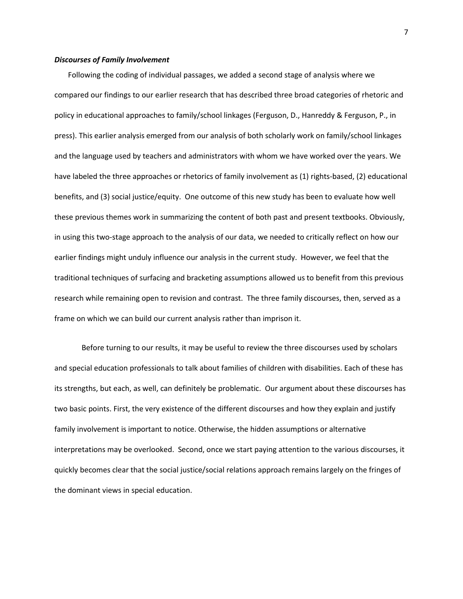#### *Discourses of Family Involvement*

Following the coding of individual passages, we added a second stage of analysis where we compared our findings to our earlier research that has described three broad categories of rhetoric and policy in educational approaches to family/school linkages (Ferguson, D., Hanreddy & Ferguson, P., in press). This earlier analysis emerged from our analysis of both scholarly work on family/school linkages and the language used by teachers and administrators with whom we have worked over the years. We have labeled the three approaches or rhetorics of family involvement as (1) rights-based, (2) educational benefits, and (3) social justice/equity. One outcome of this new study has been to evaluate how well these previous themes work in summarizing the content of both past and present textbooks. Obviously, in using this two-stage approach to the analysis of our data, we needed to critically reflect on how our earlier findings might unduly influence our analysis in the current study. However, we feel that the traditional techniques of surfacing and bracketing assumptions allowed us to benefit from this previous research while remaining open to revision and contrast. The three family discourses, then, served as a frame on which we can build our current analysis rather than imprison it.

Before turning to our results, it may be useful to review the three discourses used by scholars and special education professionals to talk about families of children with disabilities. Each of these has its strengths, but each, as well, can definitely be problematic. Our argument about these discourses has two basic points. First, the very existence of the different discourses and how they explain and justify family involvement is important to notice. Otherwise, the hidden assumptions or alternative interpretations may be overlooked. Second, once we start paying attention to the various discourses, it quickly becomes clear that the social justice/social relations approach remains largely on the fringes of the dominant views in special education.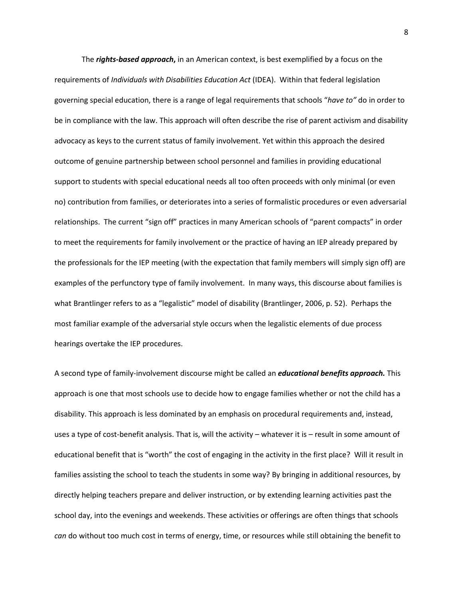The *rights-based approach***,** in an American context, is best exemplified by a focus on the requirements of *Individuals with Disabilities Education Act* (IDEA). Within that federal legislation governing special education, there is a range of legal requirements that schools "*have to"* do in order to be in compliance with the law. This approach will often describe the rise of parent activism and disability advocacy as keys to the current status of family involvement. Yet within this approach the desired outcome of genuine partnership between school personnel and families in providing educational support to students with special educational needs all too often proceeds with only minimal (or even no) contribution from families, or deteriorates into a series of formalistic procedures or even adversarial relationships. The current "sign off" practices in many American schools of "parent compacts" in order to meet the requirements for family involvement or the practice of having an IEP already prepared by the professionals for the IEP meeting (with the expectation that family members will simply sign off) are examples of the perfunctory type of family involvement. In many ways, this discourse about families is what Brantlinger refers to as a "legalistic" model of disability (Brantlinger, 2006, p. 52). Perhaps the most familiar example of the adversarial style occurs when the legalistic elements of due process hearings overtake the IEP procedures.

A second type of family-involvement discourse might be called an *educational benefits approach.* This approach is one that most schools use to decide how to engage families whether or not the child has a disability. This approach is less dominated by an emphasis on procedural requirements and, instead, uses a type of cost-benefit analysis. That is, will the activity – whatever it is – result in some amount of educational benefit that is "worth" the cost of engaging in the activity in the first place? Will it result in families assisting the school to teach the students in some way? By bringing in additional resources, by directly helping teachers prepare and deliver instruction, or by extending learning activities past the school day, into the evenings and weekends. These activities or offerings are often things that schools *can* do without too much cost in terms of energy, time, or resources while still obtaining the benefit to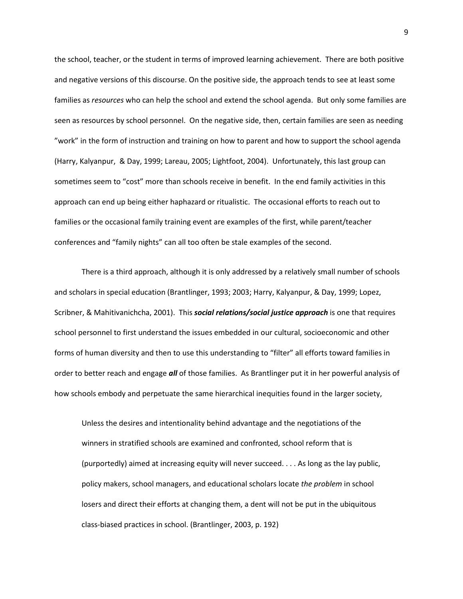the school, teacher, or the student in terms of improved learning achievement. There are both positive and negative versions of this discourse. On the positive side, the approach tends to see at least some families as *resources* who can help the school and extend the school agenda. But only some families are seen as resources by school personnel. On the negative side, then, certain families are seen as needing "work" in the form of instruction and training on how to parent and how to support the school agenda (Harry, Kalyanpur, & Day, 1999; Lareau, 2005; Lightfoot, 2004). Unfortunately, this last group can sometimes seem to "cost" more than schools receive in benefit. In the end family activities in this approach can end up being either haphazard or ritualistic. The occasional efforts to reach out to families or the occasional family training event are examples of the first, while parent/teacher conferences and "family nights" can all too often be stale examples of the second.

There is a third approach, although it is only addressed by a relatively small number of schools and scholars in special education (Brantlinger, 1993; 2003; Harry, Kalyanpur, & Day, 1999; Lopez, Scribner, & Mahitivanichcha, 2001). This *social relations/social justice approach* is one that requires school personnel to first understand the issues embedded in our cultural, socioeconomic and other forms of human diversity and then to use this understanding to "filter" all efforts toward families in order to better reach and engage *all* of those families. As Brantlinger put it in her powerful analysis of how schools embody and perpetuate the same hierarchical inequities found in the larger society,

Unless the desires and intentionality behind advantage and the negotiations of the winners in stratified schools are examined and confronted, school reform that is (purportedly) aimed at increasing equity will never succeed. . . . As long as the lay public, policy makers, school managers, and educational scholars locate *the problem* in school losers and direct their efforts at changing them, a dent will not be put in the ubiquitous class-biased practices in school. (Brantlinger, 2003, p. 192)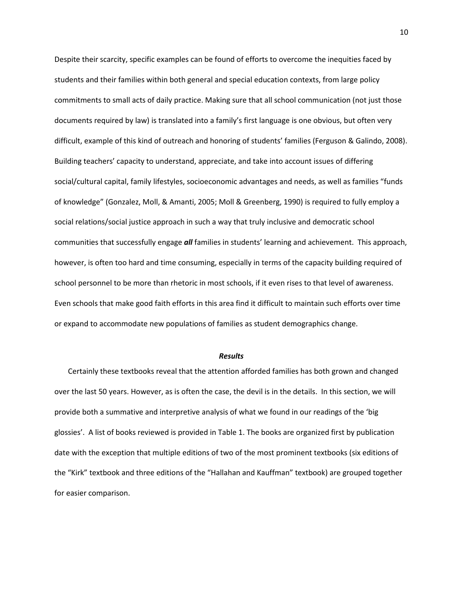Despite their scarcity, specific examples can be found of efforts to overcome the inequities faced by students and their families within both general and special education contexts, from large policy commitments to small acts of daily practice. Making sure that all school communication (not just those documents required by law) is translated into a family's first language is one obvious, but often very difficult, example of this kind of outreach and honoring of students' families (Ferguson & Galindo, 2008). Building teachers' capacity to understand, appreciate, and take into account issues of differing social/cultural capital, family lifestyles, socioeconomic advantages and needs, as well as families "funds of knowledge" (Gonzalez, Moll, & Amanti, 2005; Moll & Greenberg, 1990) is required to fully employ a social relations/social justice approach in such a way that truly inclusive and democratic school communities that successfully engage *all* families in students' learning and achievement. This approach, however, is often too hard and time consuming, especially in terms of the capacity building required of school personnel to be more than rhetoric in most schools, if it even rises to that level of awareness. Even schools that make good faith efforts in this area find it difficult to maintain such efforts over time or expand to accommodate new populations of families as student demographics change.

#### *Results*

Certainly these textbooks reveal that the attention afforded families has both grown and changed over the last 50 years. However, as is often the case, the devil is in the details. In this section, we will provide both a summative and interpretive analysis of what we found in our readings of the 'big glossies'. A list of books reviewed is provided in Table 1. The books are organized first by publication date with the exception that multiple editions of two of the most prominent textbooks (six editions of the "Kirk" textbook and three editions of the "Hallahan and Kauffman" textbook) are grouped together for easier comparison.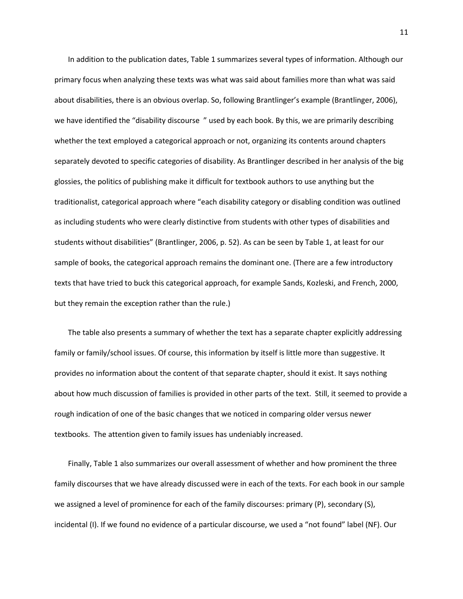In addition to the publication dates, Table 1 summarizes several types of information. Although our primary focus when analyzing these texts was what was said about families more than what was said about disabilities, there is an obvious overlap. So, following Brantlinger's example (Brantlinger, 2006), we have identified the "disability discourse " used by each book. By this, we are primarily describing whether the text employed a categorical approach or not, organizing its contents around chapters separately devoted to specific categories of disability. As Brantlinger described in her analysis of the big glossies, the politics of publishing make it difficult for textbook authors to use anything but the traditionalist, categorical approach where "each disability category or disabling condition was outlined as including students who were clearly distinctive from students with other types of disabilities and students without disabilities" (Brantlinger, 2006, p. 52). As can be seen by Table 1, at least for our sample of books, the categorical approach remains the dominant one. (There are a few introductory texts that have tried to buck this categorical approach, for example Sands, Kozleski, and French, 2000, but they remain the exception rather than the rule.)

The table also presents a summary of whether the text has a separate chapter explicitly addressing family or family/school issues. Of course, this information by itself is little more than suggestive. It provides no information about the content of that separate chapter, should it exist. It says nothing about how much discussion of families is provided in other parts of the text. Still, it seemed to provide a rough indication of one of the basic changes that we noticed in comparing older versus newer textbooks. The attention given to family issues has undeniably increased.

Finally, Table 1 also summarizes our overall assessment of whether and how prominent the three family discourses that we have already discussed were in each of the texts. For each book in our sample we assigned a level of prominence for each of the family discourses: primary (P), secondary (S), incidental (I). If we found no evidence of a particular discourse, we used a "not found" label (NF). Our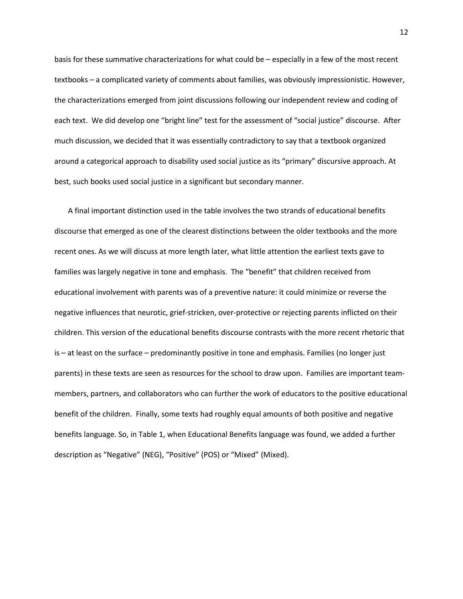basis for these summative characterizations for what could be – especially in a few of the most recent textbooks – a complicated variety of comments about families, was obviously impressionistic. However, the characterizations emerged from joint discussions following our independent review and coding of each text. We did develop one "bright line" test for the assessment of "social justice" discourse. After much discussion, we decided that it was essentially contradictory to say that a textbook organized around a categorical approach to disability used social justice as its "primary" discursive approach. At best, such books used social justice in a significant but secondary manner.

A final important distinction used in the table involves the two strands of educational benefits discourse that emerged as one of the clearest distinctions between the older textbooks and the more recent ones. As we will discuss at more length later, what little attention the earliest texts gave to families was largely negative in tone and emphasis. The "benefit" that children received from educational involvement with parents was of a preventive nature: it could minimize or reverse the negative influences that neurotic, grief-stricken, over-protective or rejecting parents inflicted on their children. This version of the educational benefits discourse contrasts with the more recent rhetoric that is – at least on the surface – predominantly positive in tone and emphasis. Families (no longer just parents) in these texts are seen as resources for the school to draw upon. Families are important teammembers, partners, and collaborators who can further the work of educators to the positive educational benefit of the children. Finally, some texts had roughly equal amounts of both positive and negative benefits language. So, in Table 1, when Educational Benefits language was found, we added a further description as "Negative" (NEG), "Positive" (POS) or "Mixed" (Mixed).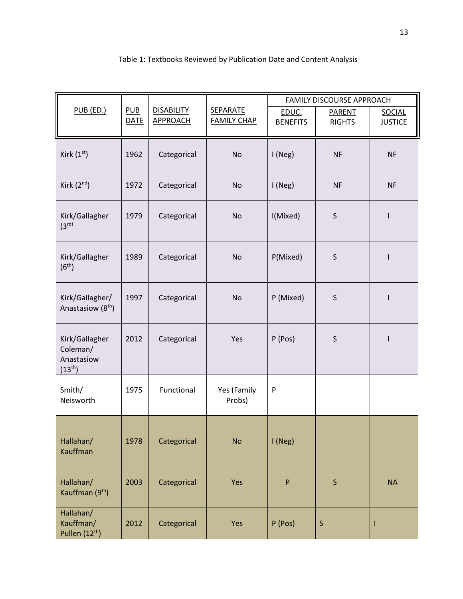|                                                         |                    |                                      |                                | <b>FAMILY DISCOURSE APPROACH</b> |                                |                                 |
|---------------------------------------------------------|--------------------|--------------------------------------|--------------------------------|----------------------------------|--------------------------------|---------------------------------|
| <b>PUB (ED.)</b>                                        | PUB<br><b>DATE</b> | <b>DISABILITY</b><br><b>APPROACH</b> | SEPARATE<br><b>FAMILY CHAP</b> | EDUC.<br><b>BENEFITS</b>         | <b>PARENT</b><br><b>RIGHTS</b> | <b>SOCIAL</b><br><b>JUSTICE</b> |
| Kirk $(1st)$                                            | 1962               | Categorical                          | No                             | $I$ (Neg)                        | <b>NF</b>                      | <b>NF</b>                       |
| Kirk $(2nd)$                                            | 1972               | Categorical                          | No                             | $I$ (Neg)                        | <b>NF</b>                      | <b>NF</b>                       |
| Kirk/Gallagher<br>(3 <sup>rd</sup> )                    | 1979               | Categorical                          | <b>No</b>                      | I(Mixed)                         | $\sf S$                        | I                               |
| Kirk/Gallagher<br>(6 <sup>th</sup> )                    | 1989               | Categorical                          | No                             | P(Mixed)                         | $\sf S$                        | ı                               |
| Kirk/Gallagher/<br>Anastasiow (8 <sup>th</sup> )        | 1997               | Categorical                          | No                             | P (Mixed)                        | $\sf S$                        | ı                               |
| Kirk/Gallagher<br>Coleman/<br>Anastasiow<br>$(13^{th})$ | 2012               | Categorical                          | Yes                            | P (Pos)                          | S                              | ı                               |
| Smith/<br>Neisworth                                     | 1975               | Functional                           | Yes (Family<br>Probs)          | P                                |                                |                                 |
| Hallahan/<br>Kauffman                                   | 1978               | Categorical                          | <b>No</b>                      | I (Neg)                          |                                |                                 |
| Hallahan/<br>Kauffman (9 <sup>th</sup> )                | 2003               | Categorical                          | Yes                            | P                                | $\mathsf{S}$                   | <b>NA</b>                       |
| Hallahan/<br>Kauffman/<br>Pullen (12th)                 | 2012               | Categorical                          | Yes                            | P (Pos)                          | $\sf S$                        | ı                               |

Table 1: Textbooks Reviewed by Publication Date and Content Analysis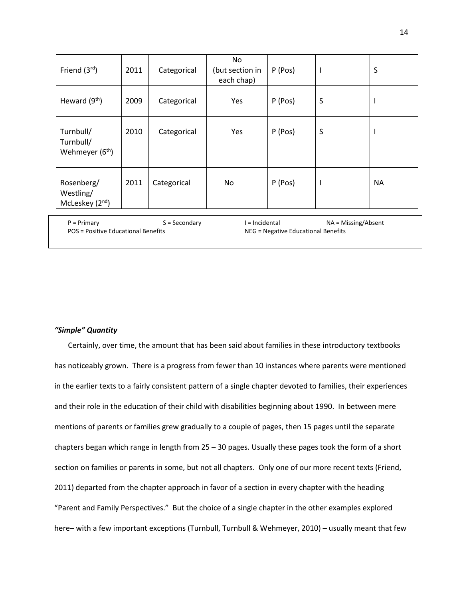| Friend $(3^{rd})$                                      | 2011 | Categorical | No<br>(but section in<br>each chap) | P (Pos) |   | S         |
|--------------------------------------------------------|------|-------------|-------------------------------------|---------|---|-----------|
| Heward $(9th)$                                         | 2009 | Categorical | Yes                                 | P (Pos) | S |           |
| Turnbull/<br>Turnbull/<br>Wehmeyer (6 <sup>th</sup> )  | 2010 | Categorical | Yes                                 | P (Pos) | S |           |
| Rosenberg/<br>Westling/<br>McLeskey (2 <sup>nd</sup> ) | 2011 | Categorical | No                                  | P (Pos) |   | <b>NA</b> |

POS = Positive Educational Benefits NEG = Negative Educational Benefits

P = Primary S = Secondary I = Incidental NA = Missing/Absent

### *"Simple" Quantity*

Certainly, over time, the amount that has been said about families in these introductory textbooks has noticeably grown. There is a progress from fewer than 10 instances where parents were mentioned in the earlier texts to a fairly consistent pattern of a single chapter devoted to families, their experiences and their role in the education of their child with disabilities beginning about 1990. In between mere mentions of parents or families grew gradually to a couple of pages, then 15 pages until the separate chapters began which range in length from 25 – 30 pages. Usually these pages took the form of a short section on families or parents in some, but not all chapters. Only one of our more recent texts (Friend, 2011) departed from the chapter approach in favor of a section in every chapter with the heading "Parent and Family Perspectives." But the choice of a single chapter in the other examples explored here– with a few important exceptions (Turnbull, Turnbull & Wehmeyer, 2010) – usually meant that few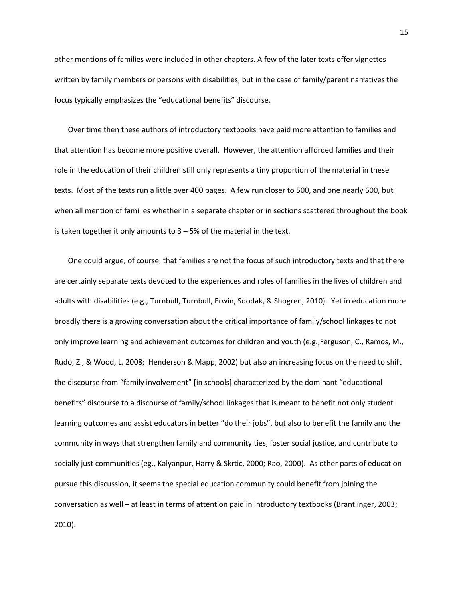other mentions of families were included in other chapters. A few of the later texts offer vignettes written by family members or persons with disabilities, but in the case of family/parent narratives the focus typically emphasizes the "educational benefits" discourse.

Over time then these authors of introductory textbooks have paid more attention to families and that attention has become more positive overall. However, the attention afforded families and their role in the education of their children still only represents a tiny proportion of the material in these texts. Most of the texts run a little over 400 pages. A few run closer to 500, and one nearly 600, but when all mention of families whether in a separate chapter or in sections scattered throughout the book is taken together it only amounts to  $3 - 5%$  of the material in the text.

One could argue, of course, that families are not the focus of such introductory texts and that there are certainly separate texts devoted to the experiences and roles of families in the lives of children and adults with disabilities (e.g., Turnbull, Turnbull, Erwin, Soodak, & Shogren, 2010). Yet in education more broadly there is a growing conversation about the critical importance of family/school linkages to not only improve learning and achievement outcomes for children and youth (e.g.,Ferguson, C., Ramos, M., Rudo, Z., & Wood, L. 2008; Henderson & Mapp, 2002) but also an increasing focus on the need to shift the discourse from "family involvement" [in schools] characterized by the dominant "educational benefits" discourse to a discourse of family/school linkages that is meant to benefit not only student learning outcomes and assist educators in better "do their jobs", but also to benefit the family and the community in ways that strengthen family and community ties, foster social justice, and contribute to socially just communities (eg., Kalyanpur, Harry & Skrtic, 2000; Rao, 2000). As other parts of education pursue this discussion, it seems the special education community could benefit from joining the conversation as well – at least in terms of attention paid in introductory textbooks (Brantlinger, 2003; 2010).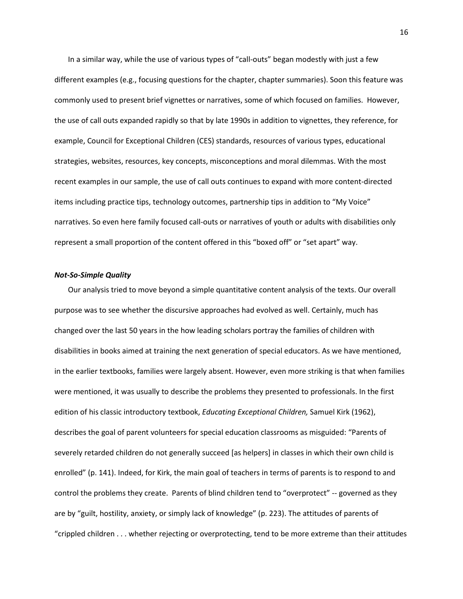In a similar way, while the use of various types of "call-outs" began modestly with just a few different examples (e.g., focusing questions for the chapter, chapter summaries). Soon this feature was commonly used to present brief vignettes or narratives, some of which focused on families. However, the use of call outs expanded rapidly so that by late 1990s in addition to vignettes, they reference, for example, Council for Exceptional Children (CES) standards, resources of various types, educational strategies, websites, resources, key concepts, misconceptions and moral dilemmas. With the most recent examples in our sample, the use of call outs continues to expand with more content-directed items including practice tips, technology outcomes, partnership tips in addition to "My Voice" narratives. So even here family focused call-outs or narratives of youth or adults with disabilities only represent a small proportion of the content offered in this "boxed off" or "set apart" way.

## *Not-So-Simple Quality*

Our analysis tried to move beyond a simple quantitative content analysis of the texts. Our overall purpose was to see whether the discursive approaches had evolved as well. Certainly, much has changed over the last 50 years in the how leading scholars portray the families of children with disabilities in books aimed at training the next generation of special educators. As we have mentioned, in the earlier textbooks, families were largely absent. However, even more striking is that when families were mentioned, it was usually to describe the problems they presented to professionals. In the first edition of his classic introductory textbook, *Educating Exceptional Children,* Samuel Kirk (1962), describes the goal of parent volunteers for special education classrooms as misguided: "Parents of severely retarded children do not generally succeed [as helpers] in classes in which their own child is enrolled" (p. 141). Indeed, for Kirk, the main goal of teachers in terms of parents is to respond to and control the problems they create. Parents of blind children tend to "overprotect" -- governed as they are by "guilt, hostility, anxiety, or simply lack of knowledge" (p. 223). The attitudes of parents of "crippled children . . . whether rejecting or overprotecting, tend to be more extreme than their attitudes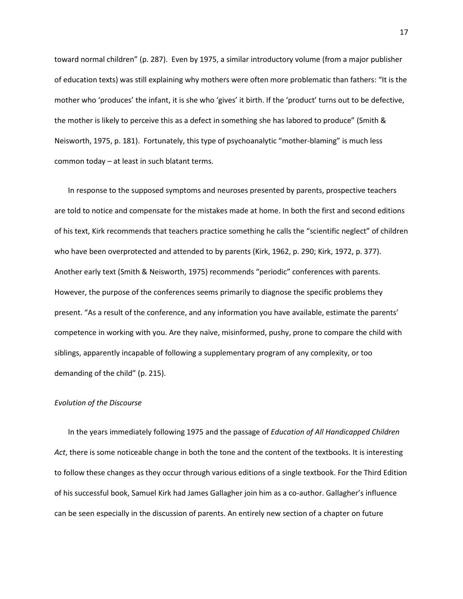toward normal children" (p. 287). Even by 1975, a similar introductory volume (from a major publisher of education texts) was still explaining why mothers were often more problematic than fathers: "It is the mother who 'produces' the infant, it is she who 'gives' it birth. If the 'product' turns out to be defective, the mother is likely to perceive this as a defect in something she has labored to produce" (Smith & Neisworth, 1975, p. 181). Fortunately, this type of psychoanalytic "mother-blaming" is much less common today – at least in such blatant terms.

In response to the supposed symptoms and neuroses presented by parents, prospective teachers are told to notice and compensate for the mistakes made at home. In both the first and second editions of his text, Kirk recommends that teachers practice something he calls the "scientific neglect" of children who have been overprotected and attended to by parents (Kirk, 1962, p. 290; Kirk, 1972, p. 377). Another early text (Smith & Neisworth, 1975) recommends "periodic" conferences with parents. However, the purpose of the conferences seems primarily to diagnose the specific problems they present. "As a result of the conference, and any information you have available, estimate the parents' competence in working with you. Are they naïve, misinformed, pushy, prone to compare the child with siblings, apparently incapable of following a supplementary program of any complexity, or too demanding of the child" (p. 215).

## *Evolution of the Discourse*

In the years immediately following 1975 and the passage of *Education of All Handicapped Children Act*, there is some noticeable change in both the tone and the content of the textbooks. It is interesting to follow these changes as they occur through various editions of a single textbook. For the Third Edition of his successful book, Samuel Kirk had James Gallagher join him as a co-author. Gallagher's influence can be seen especially in the discussion of parents. An entirely new section of a chapter on future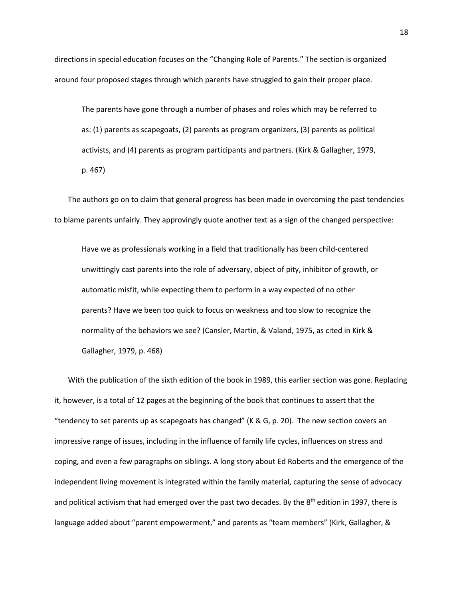directions in special education focuses on the "Changing Role of Parents." The section is organized around four proposed stages through which parents have struggled to gain their proper place.

The parents have gone through a number of phases and roles which may be referred to as: (1) parents as scapegoats, (2) parents as program organizers, (3) parents as political activists, and (4) parents as program participants and partners. (Kirk & Gallagher, 1979, p. 467)

The authors go on to claim that general progress has been made in overcoming the past tendencies to blame parents unfairly. They approvingly quote another text as a sign of the changed perspective:

Have we as professionals working in a field that traditionally has been child-centered unwittingly cast parents into the role of adversary, object of pity, inhibitor of growth, or automatic misfit, while expecting them to perform in a way expected of no other parents? Have we been too quick to focus on weakness and too slow to recognize the normality of the behaviors we see? (Cansler, Martin, & Valand, 1975, as cited in Kirk & Gallagher, 1979, p. 468)

With the publication of the sixth edition of the book in 1989, this earlier section was gone. Replacing it, however, is a total of 12 pages at the beginning of the book that continues to assert that the "tendency to set parents up as scapegoats has changed" (K & G, p. 20). The new section covers an impressive range of issues, including in the influence of family life cycles, influences on stress and coping, and even a few paragraphs on siblings. A long story about Ed Roberts and the emergence of the independent living movement is integrated within the family material, capturing the sense of advocacy and political activism that had emerged over the past two decades. By the  $8<sup>th</sup>$  edition in 1997, there is language added about "parent empowerment," and parents as "team members" (Kirk, Gallagher, &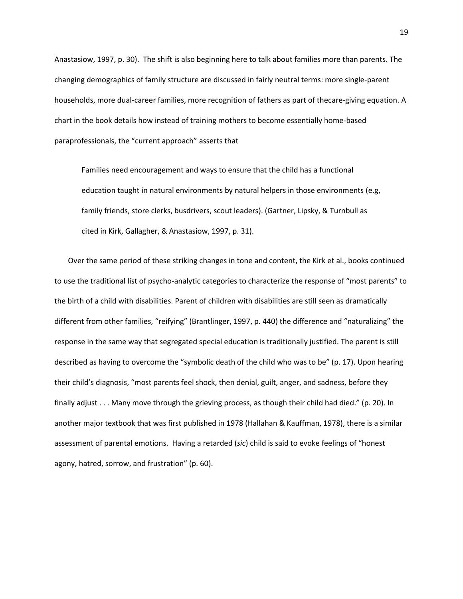Anastasiow, 1997, p. 30). The shift is also beginning here to talk about families more than parents. The changing demographics of family structure are discussed in fairly neutral terms: more single-parent households, more dual-career families, more recognition of fathers as part of thecare-giving equation. A chart in the book details how instead of training mothers to become essentially home-based paraprofessionals, the "current approach" asserts that

Families need encouragement and ways to ensure that the child has a functional education taught in natural environments by natural helpers in those environments (e.g, family friends, store clerks, busdrivers, scout leaders). (Gartner, Lipsky, & Turnbull as cited in Kirk, Gallagher, & Anastasiow, 1997, p. 31).

Over the same period of these striking changes in tone and content, the Kirk et al., books continued to use the traditional list of psycho-analytic categories to characterize the response of "most parents" to the birth of a child with disabilities. Parent of children with disabilities are still seen as dramatically different from other families, "reifying" (Brantlinger, 1997, p. 440) the difference and "naturalizing" the response in the same way that segregated special education is traditionally justified. The parent is still described as having to overcome the "symbolic death of the child who was to be" (p. 17). Upon hearing their child's diagnosis, "most parents feel shock, then denial, guilt, anger, and sadness, before they finally adjust . . . Many move through the grieving process, as though their child had died." (p. 20). In another major textbook that was first published in 1978 (Hallahan & Kauffman, 1978), there is a similar assessment of parental emotions. Having a retarded (*sic*) child is said to evoke feelings of "honest agony, hatred, sorrow, and frustration" (p. 60).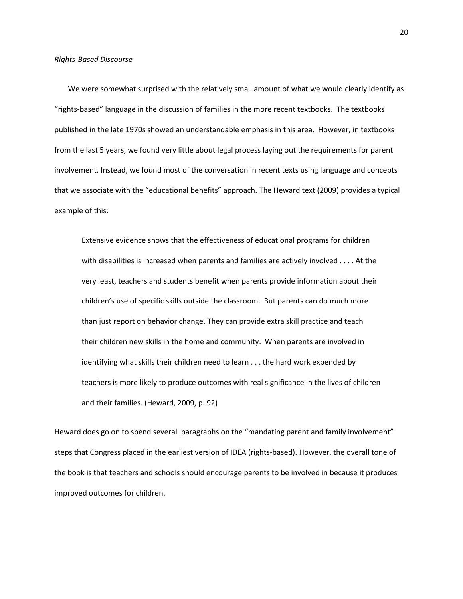We were somewhat surprised with the relatively small amount of what we would clearly identify as "rights-based" language in the discussion of families in the more recent textbooks. The textbooks published in the late 1970s showed an understandable emphasis in this area. However, in textbooks from the last 5 years, we found very little about legal process laying out the requirements for parent involvement. Instead, we found most of the conversation in recent texts using language and concepts that we associate with the "educational benefits" approach. The Heward text (2009) provides a typical example of this:

Extensive evidence shows that the effectiveness of educational programs for children with disabilities is increased when parents and families are actively involved . . . . At the very least, teachers and students benefit when parents provide information about their children's use of specific skills outside the classroom. But parents can do much more than just report on behavior change. They can provide extra skill practice and teach their children new skills in the home and community. When parents are involved in identifying what skills their children need to learn . . . the hard work expended by teachers is more likely to produce outcomes with real significance in the lives of children and their families. (Heward, 2009, p. 92)

Heward does go on to spend several paragraphs on the "mandating parent and family involvement" steps that Congress placed in the earliest version of IDEA (rights-based). However, the overall tone of the book is that teachers and schools should encourage parents to be involved in because it produces improved outcomes for children.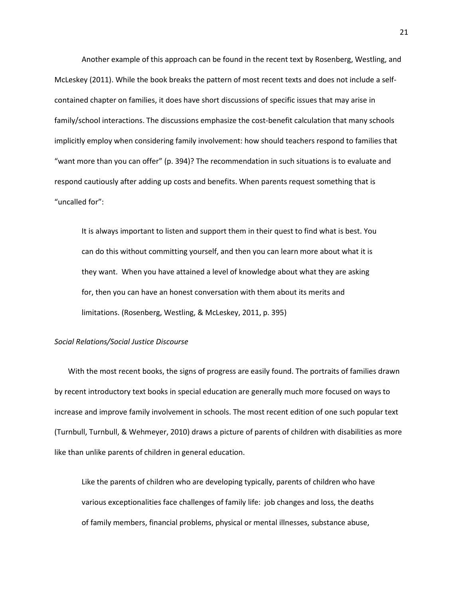Another example of this approach can be found in the recent text by Rosenberg, Westling, and McLeskey (2011). While the book breaks the pattern of most recent texts and does not include a selfcontained chapter on families, it does have short discussions of specific issues that may arise in family/school interactions. The discussions emphasize the cost-benefit calculation that many schools implicitly employ when considering family involvement: how should teachers respond to families that "want more than you can offer" (p. 394)? The recommendation in such situations is to evaluate and respond cautiously after adding up costs and benefits. When parents request something that is "uncalled for":

It is always important to listen and support them in their quest to find what is best. You can do this without committing yourself, and then you can learn more about what it is they want. When you have attained a level of knowledge about what they are asking for, then you can have an honest conversation with them about its merits and limitations. (Rosenberg, Westling, & McLeskey, 2011, p. 395)

## *Social Relations/Social Justice Discourse*

With the most recent books, the signs of progress are easily found. The portraits of families drawn by recent introductory text books in special education are generally much more focused on ways to increase and improve family involvement in schools. The most recent edition of one such popular text (Turnbull, Turnbull, & Wehmeyer, 2010) draws a picture of parents of children with disabilities as more like than unlike parents of children in general education.

Like the parents of children who are developing typically, parents of children who have various exceptionalities face challenges of family life: job changes and loss, the deaths of family members, financial problems, physical or mental illnesses, substance abuse,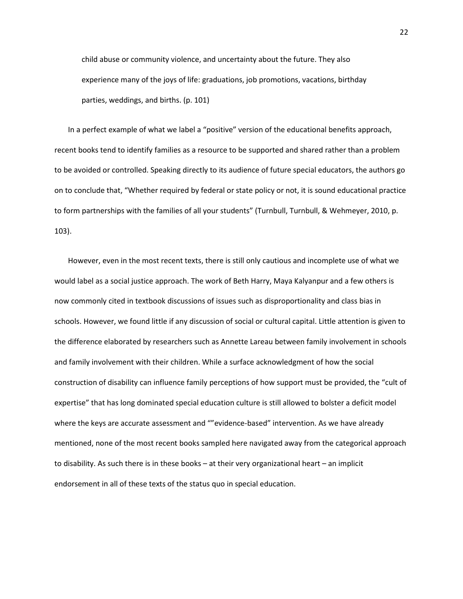child abuse or community violence, and uncertainty about the future. They also experience many of the joys of life: graduations, job promotions, vacations, birthday parties, weddings, and births. (p. 101)

In a perfect example of what we label a "positive" version of the educational benefits approach, recent books tend to identify families as a resource to be supported and shared rather than a problem to be avoided or controlled. Speaking directly to its audience of future special educators, the authors go on to conclude that, "Whether required by federal or state policy or not, it is sound educational practice to form partnerships with the families of all your students" (Turnbull, Turnbull, & Wehmeyer, 2010, p. 103).

However, even in the most recent texts, there is still only cautious and incomplete use of what we would label as a social justice approach. The work of Beth Harry, Maya Kalyanpur and a few others is now commonly cited in textbook discussions of issues such as disproportionality and class bias in schools. However, we found little if any discussion of social or cultural capital. Little attention is given to the difference elaborated by researchers such as Annette Lareau between family involvement in schools and family involvement with their children. While a surface acknowledgment of how the social construction of disability can influence family perceptions of how support must be provided, the "cult of expertise" that has long dominated special education culture is still allowed to bolster a deficit model where the keys are accurate assessment and ""evidence-based" intervention. As we have already mentioned, none of the most recent books sampled here navigated away from the categorical approach to disability. As such there is in these books – at their very organizational heart – an implicit endorsement in all of these texts of the status quo in special education.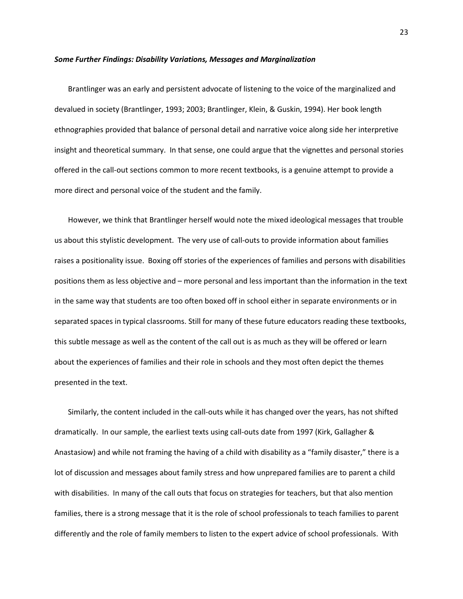#### *Some Further Findings: Disability Variations, Messages and Marginalization*

Brantlinger was an early and persistent advocate of listening to the voice of the marginalized and devalued in society (Brantlinger, 1993; 2003; Brantlinger, Klein, & Guskin, 1994). Her book length ethnographies provided that balance of personal detail and narrative voice along side her interpretive insight and theoretical summary. In that sense, one could argue that the vignettes and personal stories offered in the call-out sections common to more recent textbooks, is a genuine attempt to provide a more direct and personal voice of the student and the family.

However, we think that Brantlinger herself would note the mixed ideological messages that trouble us about this stylistic development. The very use of call-outs to provide information about families raises a positionality issue. Boxing off stories of the experiences of families and persons with disabilities positions them as less objective and – more personal and less important than the information in the text in the same way that students are too often boxed off in school either in separate environments or in separated spaces in typical classrooms. Still for many of these future educators reading these textbooks, this subtle message as well as the content of the call out is as much as they will be offered or learn about the experiences of families and their role in schools and they most often depict the themes presented in the text.

Similarly, the content included in the call-outs while it has changed over the years, has not shifted dramatically. In our sample, the earliest texts using call-outs date from 1997 (Kirk, Gallagher & Anastasiow) and while not framing the having of a child with disability as a "family disaster," there is a lot of discussion and messages about family stress and how unprepared families are to parent a child with disabilities. In many of the call outs that focus on strategies for teachers, but that also mention families, there is a strong message that it is the role of school professionals to teach families to parent differently and the role of family members to listen to the expert advice of school professionals. With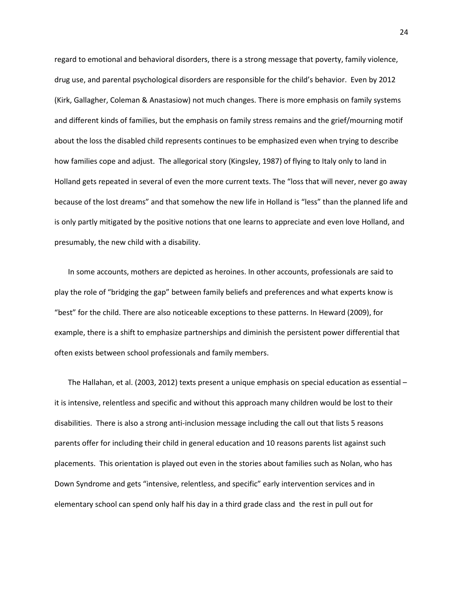regard to emotional and behavioral disorders, there is a strong message that poverty, family violence, drug use, and parental psychological disorders are responsible for the child's behavior. Even by 2012 (Kirk, Gallagher, Coleman & Anastasiow) not much changes. There is more emphasis on family systems and different kinds of families, but the emphasis on family stress remains and the grief/mourning motif about the loss the disabled child represents continues to be emphasized even when trying to describe how families cope and adjust. The allegorical story (Kingsley, 1987) of flying to Italy only to land in Holland gets repeated in several of even the more current texts. The "loss that will never, never go away because of the lost dreams" and that somehow the new life in Holland is "less" than the planned life and is only partly mitigated by the positive notions that one learns to appreciate and even love Holland, and presumably, the new child with a disability.

In some accounts, mothers are depicted as heroines. In other accounts, professionals are said to play the role of "bridging the gap" between family beliefs and preferences and what experts know is "best" for the child. There are also noticeable exceptions to these patterns. In Heward (2009), for example, there is a shift to emphasize partnerships and diminish the persistent power differential that often exists between school professionals and family members.

The Hallahan, et al. (2003, 2012) texts present a unique emphasis on special education as essential – it is intensive, relentless and specific and without this approach many children would be lost to their disabilities. There is also a strong anti-inclusion message including the call out that lists 5 reasons parents offer for including their child in general education and 10 reasons parents list against such placements. This orientation is played out even in the stories about families such as Nolan, who has Down Syndrome and gets "intensive, relentless, and specific" early intervention services and in elementary school can spend only half his day in a third grade class and the rest in pull out for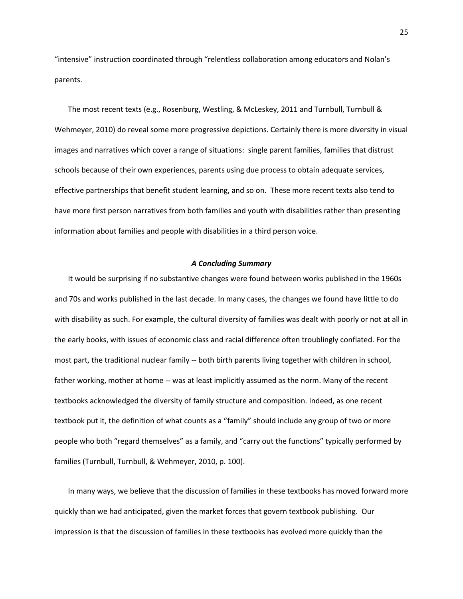"intensive" instruction coordinated through "relentless collaboration among educators and Nolan's parents.

The most recent texts (e.g., Rosenburg, Westling, & McLeskey, 2011 and Turnbull, Turnbull & Wehmeyer, 2010) do reveal some more progressive depictions. Certainly there is more diversity in visual images and narratives which cover a range of situations: single parent families, families that distrust schools because of their own experiences, parents using due process to obtain adequate services, effective partnerships that benefit student learning, and so on. These more recent texts also tend to have more first person narratives from both families and youth with disabilities rather than presenting information about families and people with disabilities in a third person voice.

## *A Concluding Summary*

It would be surprising if no substantive changes were found between works published in the 1960s and 70s and works published in the last decade. In many cases, the changes we found have little to do with disability as such. For example, the cultural diversity of families was dealt with poorly or not at all in the early books, with issues of economic class and racial difference often troublingly conflated. For the most part, the traditional nuclear family -- both birth parents living together with children in school, father working, mother at home -- was at least implicitly assumed as the norm. Many of the recent textbooks acknowledged the diversity of family structure and composition. Indeed, as one recent textbook put it, the definition of what counts as a "family" should include any group of two or more people who both "regard themselves" as a family, and "carry out the functions" typically performed by families (Turnbull, Turnbull, & Wehmeyer, 2010, p. 100).

In many ways, we believe that the discussion of families in these textbooks has moved forward more quickly than we had anticipated, given the market forces that govern textbook publishing. Our impression is that the discussion of families in these textbooks has evolved more quickly than the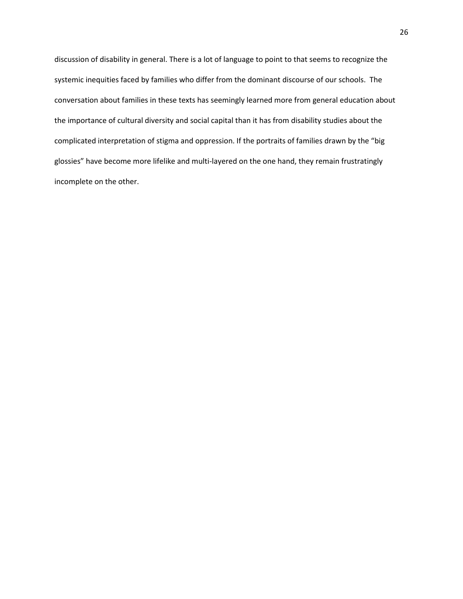discussion of disability in general. There is a lot of language to point to that seems to recognize the systemic inequities faced by families who differ from the dominant discourse of our schools. The conversation about families in these texts has seemingly learned more from general education about the importance of cultural diversity and social capital than it has from disability studies about the complicated interpretation of stigma and oppression. If the portraits of families drawn by the "big glossies" have become more lifelike and multi-layered on the one hand, they remain frustratingly incomplete on the other.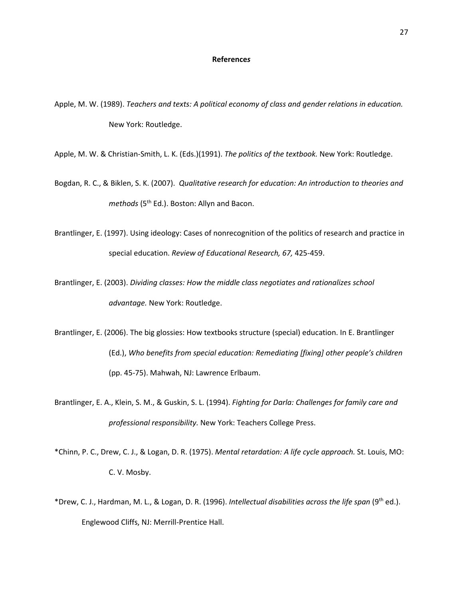#### **Reference***s*

- Apple, M. W. (1989). *Teachers and texts: A political economy of class and gender relations in education.*  New York: Routledge.
- Apple, M. W. & Christian-Smith, L. K. (Eds.)(1991). *The politics of the textbook.* New York: Routledge.
- Bogdan, R. C., & Biklen, S. K. (2007). *Qualitative research for education: An introduction to theories and methods* (5<sup>th</sup> Ed.). Boston: Allyn and Bacon.
- Brantlinger, E. (1997). Using ideology: Cases of nonrecognition of the politics of research and practice in special education. *Review of Educational Research, 67,* 425-459.
- Brantlinger, E. (2003). *Dividing classes: How the middle class negotiates and rationalizes school advantage.* New York: Routledge.
- Brantlinger, E. (2006). The big glossies: How textbooks structure (special) education. In E. Brantlinger (Ed.), *Who benefits from special education: Remediating [fixing] other people's children*  (pp. 45-75). Mahwah, NJ: Lawrence Erlbaum.
- Brantlinger, E. A., Klein, S. M., & Guskin, S. L. (1994). *Fighting for Darla: Challenges for family care and professional responsibility.* New York: Teachers College Press.
- \*Chinn, P. C., Drew, C. J., & Logan, D. R. (1975). *Mental retardation: A life cycle approach.* St. Louis, MO: C. V. Mosby.
- \*Drew, C. J., Hardman, M. L., & Logan, D. R. (1996). *Intellectual disabilities across the life span* (9th ed.). Englewood Cliffs, NJ: Merrill-Prentice Hall.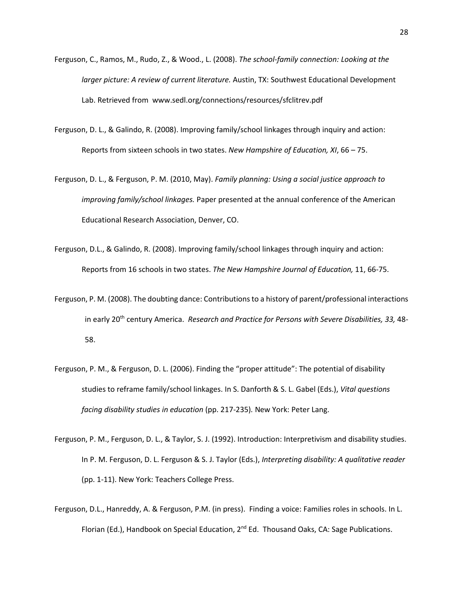- Ferguson, C., Ramos, M., Rudo, Z., & Wood., L. (2008). *The school-family connection: Looking at the larger picture: A review of current literature.* Austin, TX: Southwest Educational Development Lab. Retrieved from www.sedl.org/connections/resources/sfclitrev.pdf
- Ferguson, D. L., & Galindo, R. (2008). Improving family/school linkages through inquiry and action: Reports from sixteen schools in two states. *New Hampshire of Education, XI*, 66 – 75.
- Ferguson, D. L., & Ferguson, P. M. (2010, May). *Family planning: Using a social justice approach to improving family/school linkages.* Paper presented at the annual conference of the American Educational Research Association, Denver, CO.
- Ferguson, D.L., & Galindo, R. (2008). Improving family/school linkages through inquiry and action: Reports from 16 schools in two states. *The New Hampshire Journal of Education,* 11, 66-75.
- Ferguson, P. M. (2008). The doubting dance: Contributions to a history of parent/professional interactions in early 20th century America. *Research and Practice for Persons with Severe Disabilities, 33,* 48- 58.
- Ferguson, P. M., & Ferguson, D. L. (2006). Finding the "proper attitude": The potential of disability studies to reframe family/school linkages. In S. Danforth & S. L. Gabel (Eds.), *Vital questions facing disability studies in education* (pp. 217-235)*.* New York: Peter Lang.
- Ferguson, P. M., Ferguson, D. L., & Taylor, S. J. (1992). Introduction: Interpretivism and disability studies. In P. M. Ferguson, D. L. Ferguson & S. J. Taylor (Eds.), *Interpreting disability: A qualitative reader*  (pp. 1-11). New York: Teachers College Press.
- Ferguson, D.L., Hanreddy, A. & Ferguson, P.M. (in press). Finding a voice: Families roles in schools. In L. Florian (Ed.), Handbook on Special Education,  $2^{nd}$  Ed. Thousand Oaks, CA: Sage Publications.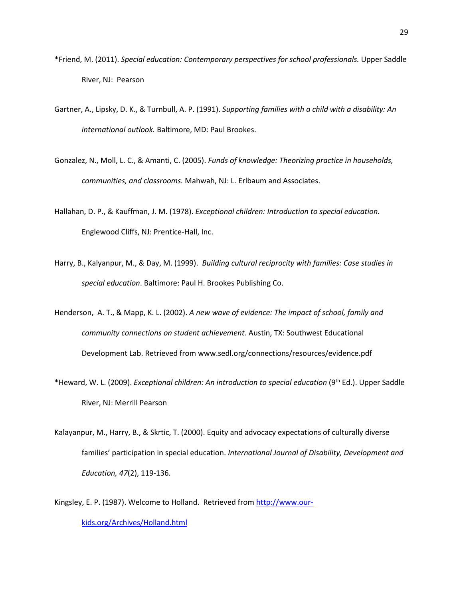- \*Friend, M. (2011). *Special education: Contemporary perspectives for school professionals.* Upper Saddle River, NJ: Pearson
- Gartner, A., Lipsky, D. K., & Turnbull, A. P. (1991). *Supporting families with a child with a disability: An international outlook.* Baltimore, MD: Paul Brookes.
- Gonzalez, N., Moll, L. C., & Amanti, C. (2005). *Funds of knowledge: Theorizing practice in households, communities, and classrooms.* Mahwah, NJ: L. Erlbaum and Associates.
- Hallahan, D. P., & Kauffman, J. M. (1978). *Exceptional children: Introduction to special education.*  Englewood Cliffs, NJ: Prentice-Hall, Inc.
- Harry, B., Kalyanpur, M., & Day, M. (1999). *Building cultural reciprocity with families: Case studies in special education*. Baltimore: Paul H. Brookes Publishing Co.
- Henderson, A. T., & Mapp, K. L. (2002). *A new wave of evidence: The impact of school, family and community connections on student achievement.* Austin, TX: Southwest Educational Development Lab. Retrieved from www.sedl.org/connections/resources/evidence.pdf
- \*Heward, W. L. (2009). *Exceptional children: An introduction to special education* (9th Ed.). Upper Saddle River, NJ: Merrill Pearson
- Kalayanpur, M., Harry, B., & Skrtic, T. (2000). Equity and advocacy expectations of culturally diverse families' participation in special education. *International Journal of Disability, Development and Education, 47*(2), 119-136.
- Kingsley, E. P. (1987). Welcome to Holland. Retrieved fro[m http://www.our](http://www.our-kids.org/Archives/Holland.html)[kids.org/Archives/Holland.html](http://www.our-kids.org/Archives/Holland.html)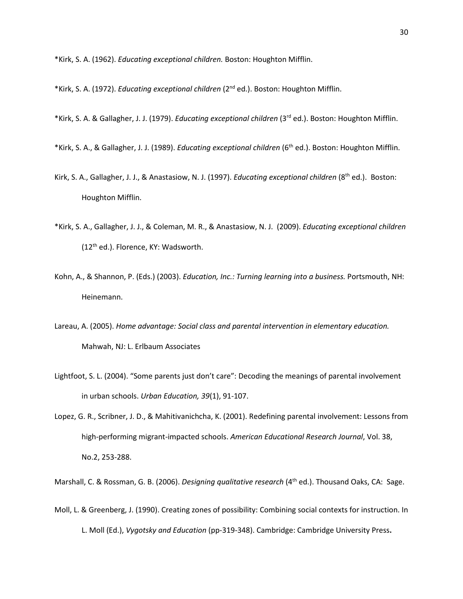\*Kirk, S. A. (1962). *Educating exceptional children.* Boston: Houghton Mifflin.

\*Kirk, S. A. (1972). *Educating exceptional children* (2nd ed.). Boston: Houghton Mifflin.

- \*Kirk, S. A. & Gallagher, J. J. (1979). *Educating exceptional children* (3rd ed.). Boston: Houghton Mifflin.
- \*Kirk, S. A., & Gallagher, J. J. (1989). *Educating exceptional children* (6th ed.). Boston: Houghton Mifflin.
- Kirk, S. A., Gallagher, J. J., & Anastasiow, N. J. (1997). *Educating exceptional children* (8th ed.). Boston: Houghton Mifflin.
- \*Kirk, S. A., Gallagher, J. J., & Coleman, M. R., & Anastasiow, N. J. (2009). *Educating exceptional children*  (12th ed.). Florence, KY: Wadsworth.
- Kohn, A., & Shannon, P. (Eds.) (2003). *Education, Inc.: Turning learning into a business.* Portsmouth, NH: Heinemann.
- Lareau, A. (2005). *Home advantage: Social class and parental intervention in elementary education.*  Mahwah, NJ: L. Erlbaum Associates
- Lightfoot, S. L. (2004). "Some parents just don't care": Decoding the meanings of parental involvement in urban schools. *Urban Education, 39*(1), 91-107.
- Lopez, G. R., Scribner, J. D., & Mahitivanichcha, K. (2001). Redefining parental involvement: Lessons from high-performing migrant-impacted schools. *American Educational Research Journal*, Vol. 38, No.2, 253-288.

Marshall, C. & Rossman, G. B. (2006). *Designing qualitative research* (4th ed.). Thousand Oaks, CA: Sage.

Moll, L. & Greenberg, J. (1990). Creating zones of possibility: Combining social contexts for instruction. In L. Moll (Ed.), *Vygotsky and Education* (pp-319-348). Cambridge: Cambridge University Press**.**